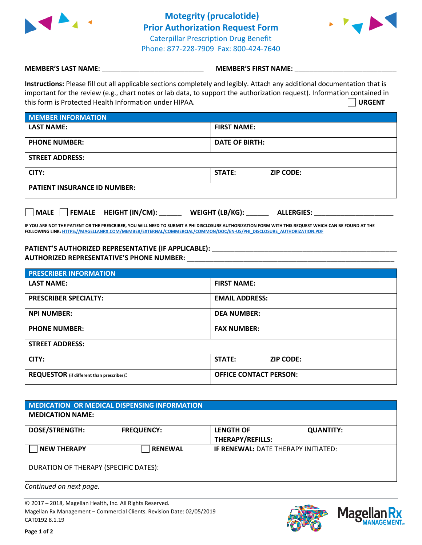

**Motegrity (prucalotide) Prior Authorization Request Form** Caterpillar Prescription Drug Benefit Phone: 877-228-7909 Fax: 800-424-7640



## **MEMBER'S LAST NAME:**  $\blacksquare$  **MEMBER'S FIRST NAME:**

**Instructions:** Please fill out all applicable sections completely and legibly. Attach any additional documentation that is important for the review (e.g., chart notes or lab data, to support the authorization request). Information contained in this form is Protected Health Information under HIPAA. **URGENT**

| <b>MEMBER INFORMATION</b>           |                                   |  |  |  |
|-------------------------------------|-----------------------------------|--|--|--|
| <b>LAST NAME:</b>                   | <b>FIRST NAME:</b>                |  |  |  |
| <b>PHONE NUMBER:</b>                | <b>DATE OF BIRTH:</b>             |  |  |  |
| <b>STREET ADDRESS:</b>              |                                   |  |  |  |
| CITY:                               | <b>STATE:</b><br><b>ZIP CODE:</b> |  |  |  |
| <b>PATIENT INSURANCE ID NUMBER:</b> |                                   |  |  |  |

| MALE | <b>FEMALE</b> | <b>HEIGHT (IN/CM):</b> | <b>WEIGHT (LB/KG):</b> | <b>ALLERGIES:</b> |
|------|---------------|------------------------|------------------------|-------------------|
|------|---------------|------------------------|------------------------|-------------------|

**IF YOU ARE NOT THE PATIENT OR THE PRESCRIBER, YOU WILL NEED TO SUBMIT A PHI DISCLOSURE AUTHORIZATION FORM WITH THIS REQUEST WHICH CAN BE FOUND AT THE FOLLOWING LINK[: HTTPS://MAGELLANRX.COM/MEMBER/EXTERNAL/COMMERCIAL/COMMON/DOC/EN-US/PHI\\_DISCLOSURE\\_AUTHORIZATION.PDF](https://magellanrx.com/member/external/commercial/common/doc/en-us/PHI_Disclosure_Authorization.pdf)**

## **PATIENT'S AUTHORIZED REPRESENTATIVE (IF APPLICABLE):** \_\_\_\_\_\_\_\_\_\_\_\_\_\_\_\_\_\_\_\_\_\_\_\_\_\_\_\_\_\_\_\_\_\_\_\_\_\_\_\_\_\_\_\_\_\_\_\_\_ **AUTHORIZED REPRESENTATIVE'S PHONE NUMBER:** \_\_\_\_\_\_\_\_\_\_\_\_\_\_\_\_\_\_\_\_\_\_\_\_\_\_\_\_\_\_\_\_\_\_\_\_\_\_\_\_\_\_\_\_\_\_\_\_\_\_\_\_\_\_\_

| <b>PRESCRIBER INFORMATION</b>                    |                                   |  |  |
|--------------------------------------------------|-----------------------------------|--|--|
| <b>LAST NAME:</b>                                | <b>FIRST NAME:</b>                |  |  |
| <b>PRESCRIBER SPECIALTY:</b>                     | <b>EMAIL ADDRESS:</b>             |  |  |
| <b>NPI NUMBER:</b>                               | <b>DEA NUMBER:</b>                |  |  |
| <b>PHONE NUMBER:</b>                             | <b>FAX NUMBER:</b>                |  |  |
| <b>STREET ADDRESS:</b>                           |                                   |  |  |
| CITY:                                            | <b>STATE:</b><br><b>ZIP CODE:</b> |  |  |
| <b>REQUESTOR</b> (if different than prescriber): | <b>OFFICE CONTACT PERSON:</b>     |  |  |

| MEDICATION OR MEDICAL DISPENSING INFORMATION |                   |                                     |                  |  |  |
|----------------------------------------------|-------------------|-------------------------------------|------------------|--|--|
| <b>MEDICATION NAME:</b>                      |                   |                                     |                  |  |  |
| <b>DOSE/STRENGTH:</b>                        | <b>FREQUENCY:</b> | <b>LENGTH OF</b>                    | <b>QUANTITY:</b> |  |  |
|                                              |                   | <b>THERAPY/REFILLS:</b>             |                  |  |  |
| <b>NEW THERAPY</b>                           | <b>RENEWAL</b>    | IF RENEWAL: DATE THERAPY INITIATED: |                  |  |  |
| DURATION OF THERAPY (SPECIFIC DATES):        |                   |                                     |                  |  |  |

*Continued on next page.*

© 2017 – 2018, Magellan Health, Inc. All Rights Reserved. Magellan Rx Management – Commercial Clients. Revision Date: 02/05/2019 CAT0192 8.1.19